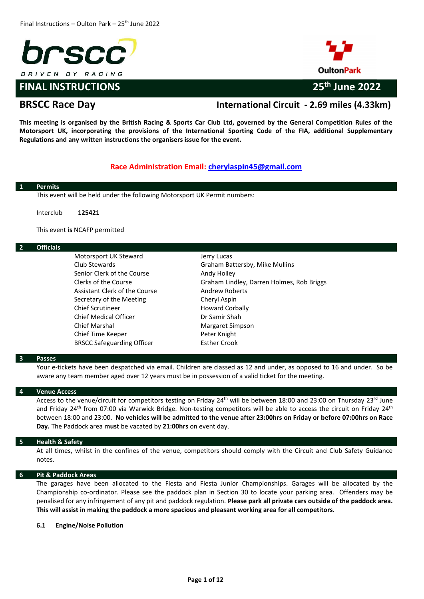

# **FINAL INSTRUCTIONS 25th June 2022**





# **BRSCC Race Day International Circuit - 2.69 miles (4.33km)**

**This meeting is organised by the British Racing & Sports Car Club Ltd, governed by the General Competition Rules of the Motorsport UK, incorporating the provisions of the International Sporting Code of the FIA, additional Supplementary Regulations and any written instructions the organisers issue for the event.** 

## **Race Administration Email: [cherylaspin45@gmail.com](mailto:cherylaspin45@gmail.com)**

| <b>Permits</b>   |                                                                           |                                           |
|------------------|---------------------------------------------------------------------------|-------------------------------------------|
|                  | This event will be held under the following Motorsport UK Permit numbers: |                                           |
| Interclub        | 125421                                                                    |                                           |
|                  | This event is NCAFP permitted                                             |                                           |
| <b>Officials</b> |                                                                           |                                           |
|                  | Motorsport UK Steward                                                     | Jerry Lucas                               |
|                  | Club Stewards                                                             | Graham Battersby, Mike Mullins            |
|                  | Senior Clerk of the Course                                                | Andy Holley                               |
|                  | Clerks of the Course                                                      | Graham Lindley, Darren Holmes, Rob Briggs |
|                  | Assistant Clerk of the Course                                             | <b>Andrew Roberts</b>                     |
|                  | Secretary of the Meeting                                                  | Cheryl Aspin                              |
|                  | <b>Chief Scrutineer</b>                                                   | <b>Howard Corbally</b>                    |
|                  | <b>Chief Medical Officer</b>                                              | Dr Samir Shah                             |
|                  | <b>Chief Marshal</b>                                                      | Margaret Simpson                          |
|                  | Chief Time Keeper                                                         | Peter Knight                              |
|                  | <b>BRSCC Safeguarding Officer</b>                                         | <b>Esther Crook</b>                       |

### **3 Passes**

Your e-tickets have been despatched via email. Children are classed as 12 and under, as opposed to 16 and under. So be aware any team member aged over 12 years must be in possession of a valid ticket for the meeting.

### **4 Venue Access**

Access to the venue/circuit for competitors testing on Friday 24<sup>th</sup> will be between 18:00 and 23:00 on Thursday 23<sup>rd</sup> June and Friday 24<sup>th</sup> from 07:00 via Warwick Bridge. Non-testing competitors will be able to access the circuit on Friday 24<sup>th</sup> between 18:00 and 23:00. **No vehicles will be admitted to the venue after 23:00hrs on Friday or before 07:00hrs on Race Day.** The Paddock area **must** be vacated by **21:00hrs** on event day.

### **5 Health & Safety**

At all times, whilst in the confines of the venue, competitors should comply with the Circuit and Club Safety Guidance notes.

### **6 Pit & Paddock Areas**

The garages have been allocated to the Fiesta and Fiesta Junior Championships. Garages will be allocated by the Championship co-ordinator. Please see the paddock plan in Section 30 to locate your parking area. Offenders may be penalised for any infringement of any pit and paddock regulation. **Please park all private cars outside of the paddock area. This will assist in making the paddock a more spacious and pleasant working area for all competitors.** 

#### **6.1 Engine/Noise Pollution**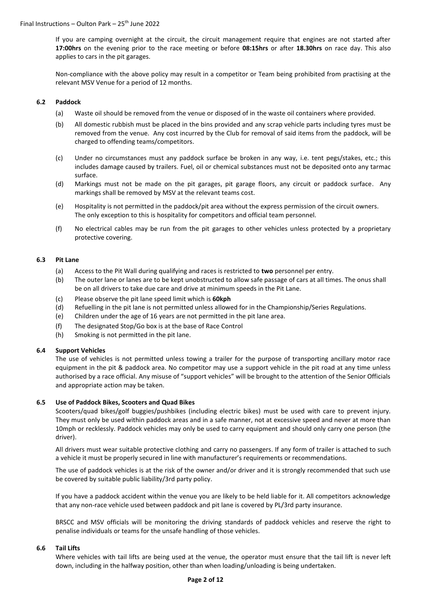If you are camping overnight at the circuit, the circuit management require that engines are not started after **17:00hrs** on the evening prior to the race meeting or before **08:15hrs** or after **18.30hrs** on race day. This also applies to cars in the pit garages.

Non-compliance with the above policy may result in a competitor or Team being prohibited from practising at the relevant MSV Venue for a period of 12 months.

### **6.2 Paddock**

- (a) Waste oil should be removed from the venue or disposed of in the waste oil containers where provided.
- (b) All domestic rubbish must be placed in the bins provided and any scrap vehicle parts including tyres must be removed from the venue. Any cost incurred by the Club for removal of said items from the paddock, will be charged to offending teams/competitors.
- (c) Under no circumstances must any paddock surface be broken in any way, i.e. tent pegs/stakes, etc.; this includes damage caused by trailers. Fuel, oil or chemical substances must not be deposited onto any tarmac surface.
- (d) Markings must not be made on the pit garages, pit garage floors, any circuit or paddock surface. Any markings shall be removed by MSV at the relevant teams cost.
- (e) Hospitality is not permitted in the paddock/pit area without the express permission of the circuit owners. The only exception to this is hospitality for competitors and official team personnel.
- (f) No electrical cables may be run from the pit garages to other vehicles unless protected by a proprietary protective covering.

### **6.3 Pit Lane**

- (a) Access to the Pit Wall during qualifying and races is restricted to **two** personnel per entry.
- (b) The outer lane or lanes are to be kept unobstructed to allow safe passage of cars at all times. The onus shall be on all drivers to take due care and drive at minimum speeds in the Pit Lane.
- (c) Please observe the pit lane speed limit which is **60kph**
- (d) Refuelling in the pit lane is not permitted unless allowed for in the Championship/Series Regulations.
- (e) Children under the age of 16 years are not permitted in the pit lane area.
- (f) The designated Stop/Go box is at the base of Race Control
- (h) Smoking is not permitted in the pit lane.

### **6.4 Support Vehicles**

The use of vehicles is not permitted unless towing a trailer for the purpose of transporting ancillary motor race equipment in the pit & paddock area. No competitor may use a support vehicle in the pit road at any time unless authorised by a race official. Any misuse of "support vehicles" will be brought to the attention of the Senior Officials and appropriate action may be taken.

### **6.5 Use of Paddock Bikes, Scooters and Quad Bikes**

Scooters/quad bikes/golf buggies/pushbikes (including electric bikes) must be used with care to prevent injury. They must only be used within paddock areas and in a safe manner, not at excessive speed and never at more than 10mph or recklessly. Paddock vehicles may only be used to carry equipment and should only carry one person (the driver).

All drivers must wear suitable protective clothing and carry no passengers. If any form of trailer is attached to such a vehicle it must be properly secured in line with manufacturer's requirements or recommendations.

The use of paddock vehicles is at the risk of the owner and/or driver and it is strongly recommended that such use be covered by suitable public liability/3rd party policy.

If you have a paddock accident within the venue you are likely to be held liable for it. All competitors acknowledge that any non-race vehicle used between paddock and pit lane is covered by PL/3rd party insurance.

BRSCC and MSV officials will be monitoring the driving standards of paddock vehicles and reserve the right to penalise individuals or teams for the unsafe handling of those vehicles.

### **6.6 Tail Lifts**

Where vehicles with tail lifts are being used at the venue, the operator must ensure that the tail lift is never left down, including in the halfway position, other than when loading/unloading is being undertaken.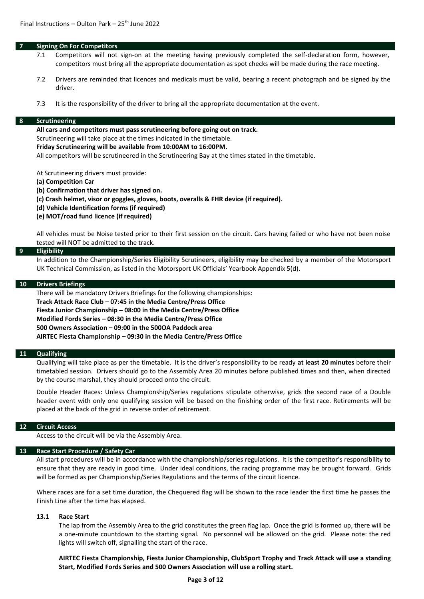### **7 Signing On For Competitors**

- 7.1 Competitors will not sign-on at the meeting having previously completed the self-declaration form, however, competitors must bring all the appropriate documentation as spot checks will be made during the race meeting.
- 7.2 Drivers are reminded that licences and medicals must be valid, bearing a recent photograph and be signed by the driver.
- 7.3 It is the responsibility of the driver to bring all the appropriate documentation at the event.

#### **8 Scrutineering**

**All cars and competitors must pass scrutineering before going out on track.** 

Scrutineering will take place at the times indicated in the timetable.

**Friday Scrutineering will be available from 10:00AM to 16:00PM.** 

All competitors will be scrutineered in the Scrutineering Bay at the times stated in the timetable.

At Scrutineering drivers must provide:

- **(a) Competition Car**
- **(b) Confirmation that driver has signed on.**
- **(c) Crash helmet, visor or goggles, gloves, boots, overalls & FHR device (if required).**
- **(d) Vehicle Identification forms (if required)**
- **(e) MOT/road fund licence (if required)**

All vehicles must be Noise tested prior to their first session on the circuit. Cars having failed or who have not been noise tested will NOT be admitted to the track.

#### **9 Eligibility**

In addition to the Championship/Series Eligibility Scrutineers, eligibility may be checked by a member of the Motorsport UK Technical Commission, as listed in the Motorsport UK Officials' Yearbook Appendix 5(d).

#### **10 Drivers Briefings**

There will be mandatory Drivers Briefings for the following championships: **Track Attack Race Club – 07:45 in the Media Centre/Press Office Fiesta Junior Championship – 08:00 in the Media Centre/Press Office Modified Fords Series – 08:30 in the Media Centre/Press Office 500 Owners Association – 09:00 in the 500OA Paddock area AIRTEC Fiesta Championship – 09:30 in the Media Centre/Press Office**

#### **11 Qualifying**

Qualifying will take place as per the timetable. It is the driver's responsibility to be ready **at least 20 minutes** before their timetabled session. Drivers should go to the Assembly Area 20 minutes before published times and then, when directed by the course marshal, they should proceed onto the circuit.

Double Header Races: Unless Championship/Series regulations stipulate otherwise, grids the second race of a Double header event with only one qualifying session will be based on the finishing order of the first race. Retirements will be placed at the back of the grid in reverse order of retirement.

#### **12 Circuit Access**

Access to the circuit will be via the Assembly Area.

#### **13 Race Start Procedure / Safety Car**

All start procedures will be in accordance with the championship/series regulations. It is the competitor's responsibility to ensure that they are ready in good time. Under ideal conditions, the racing programme may be brought forward. Grids will be formed as per Championship/Series Regulations and the terms of the circuit licence.

Where races are for a set time duration, the Chequered flag will be shown to the race leader the first time he passes the Finish Line after the time has elapsed.

#### **13.1 Race Start**

The lap from the Assembly Area to the grid constitutes the green flag lap. Once the grid is formed up, there will be a one-minute countdown to the starting signal. No personnel will be allowed on the grid. Please note: the red lights will switch off, signalling the start of the race.

**AIRTEC Fiesta Championship, Fiesta Junior Championship, ClubSport Trophy and Track Attack will use a standing Start, Modified Fords Series and 500 Owners Association will use a rolling start.**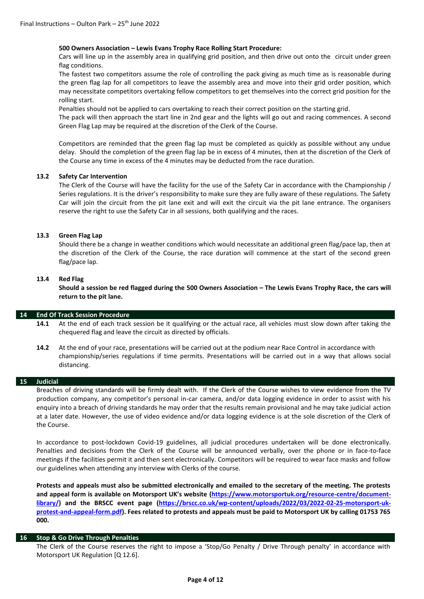### **500 Owners Association – Lewis Evans Trophy Race Rolling Start Procedure:**

Cars will line up in the assembly area in qualifying grid position, and then drive out onto the circuit under green flag conditions.

The fastest two competitors assume the role of controlling the pack giving as much time as is reasonable during the green flag lap for all competitors to leave the assembly area and move into their grid order position, which may necessitate competitors overtaking fellow competitors to get themselves into the correct grid position for the rolling start.

Penalties should not be applied to cars overtaking to reach their correct position on the starting grid.

The pack will then approach the start line in 2nd gear and the lights will go out and racing commences. A second Green Flag Lap may be required at the discretion of the Clerk of the Course.

Competitors are reminded that the green flag lap must be completed as quickly as possible without any undue delay. Should the completion of the green flag lap be in excess of 4 minutes, then at the discretion of the Clerk of the Course any time in excess of the 4 minutes may be deducted from the race duration.

### **13.2 Safety Car Intervention**

The Clerk of the Course will have the facility for the use of the Safety Car in accordance with the Championship / Series regulations. It is the driver's responsibility to make sure they are fully aware of these regulations. The Safety Car will join the circuit from the pit lane exit and will exit the circuit via the pit lane entrance. The organisers reserve the right to use the Safety Car in all sessions, both qualifying and the races.

### **13.3 Green Flag Lap**

Should there be a change in weather conditions which would necessitate an additional green flag/pace lap, then at the discretion of the Clerk of the Course, the race duration will commence at the start of the second green flag/pace lap.

#### **13.4 Red Flag**

**Should a session be red flagged during the 500 Owners Association – The Lewis Evans Trophy Race, the cars will return to the pit lane.**

#### **14 End Of Track Session Procedure**

- **14.1** At the end of each track session be it qualifying or the actual race, all vehicles must slow down after taking the chequered flag and leave the circuit as directed by officials.
- **14.2** At the end of your race, presentations will be carried out at the podium near Race Control in accordance with championship/series regulations if time permits. Presentations will be carried out in a way that allows social distancing.

#### **15 Judicial**

Breaches of driving standards will be firmly dealt with. If the Clerk of the Course wishes to view evidence from the TV production company, any competitor's personal in-car camera, and/or data logging evidence in order to assist with his enquiry into a breach of driving standards he may order that the results remain provisional and he may take judicial action at a later date. However, the use of video evidence and/or data logging evidence is at the sole discretion of the Clerk of the Course.

In accordance to post-lockdown Covid-19 guidelines, all judicial procedures undertaken will be done electronically. Penalties and decisions from the Clerk of the Course will be announced verbally, over the phone or in face-to-face meetings if the facilities permit it and then sent electronically. Competitors will be required to wear face masks and follow our guidelines when attending any interview with Clerks of the course.

**Protests and appeals must also be submitted electronically and emailed to the secretary of the meeting. The protests and appeal form is available on Motorsport UK's website [\(https://www.motorsportuk.org/resource-centre/document](https://www.motorsportuk.org/resource-centre/document-library/)[library/\)](https://www.motorsportuk.org/resource-centre/document-library/) and the BRSCC event page [\(https://brscc.co.uk/wp-content/uploads/2022/03/2022-02-25-motorsport-uk](https://brscc.co.uk/wp-content/uploads/2022/03/2022-02-25-motorsport-uk-protest-and-appeal-form.pdf)[protest-and-appeal-form.pdf\)](https://brscc.co.uk/wp-content/uploads/2022/03/2022-02-25-motorsport-uk-protest-and-appeal-form.pdf). Fees related to protests and appeals must be paid to Motorsport UK by calling 01753 765 000.** 

### **16 Stop & Go Drive Through Penalties**

The Clerk of the Course reserves the right to impose a 'Stop/Go Penalty / Drive Through penalty' in accordance with Motorsport UK Regulation [Q 12.6].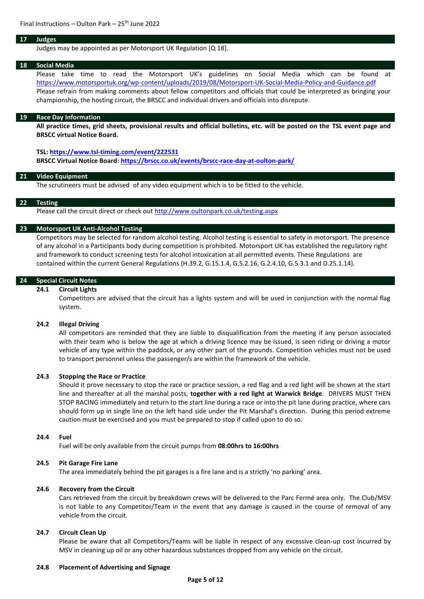#### **17 Judges**

Judges may be appointed as per Motorsport UK Regulation [Q 18].

#### **18 Social Media**

Please take time to read the Motorsport UK's guidelines on Social Media which can be found at <https://www.motorsportuk.org/wp-content/uploads/2019/08/Motorsport-UK-Social-Media-Policy-and-Guidance.pdf> Please refrain from making comments about fellow competitors and officials that could be interpreted as bringing your championship, the hosting circuit, the BRSCC and individual drivers and officials into disrepute.

#### **19 Race Day Information**

**All practice times, grid sheets, provisional results and official bulletins, etc. will be posted on the TSL event page and BRSCC virtual Notice Board.**

#### **TSL: <https://www.tsl-timing.com/event/222531>**

**BRSCC Virtual Notice Board: <https://brscc.co.uk/events/brscc-race-day-at-oulton-park/>**

### **21 Video Equipment**

The scrutineers must be advised of any video equipment which is to be fitted to the vehicle.

#### **22 Testing**

Please call the circuit direct or check out<http://www.oultonpark.co.uk/testing.aspx>

### **23 Motorsport UK Anti-Alcohol Testing**

Competitors may be selected for random alcohol testing. Alcohol testing is essential to safety in motorsport. The presence of any alcohol in a Participants body during competition is prohibited. Motorsport UK has established the regulatory right and framework to conduct screening tests for alcohol intoxication at all permitted events. These Regulations are contained within the current General Regulations (H.39.2, G.15.1.4, G.5.2.16, G.2.4.10, G.5.3.1 and D.25.1.14).

#### **24 Special Circuit Notes**

### **24.1 Circuit Lights**

Competitors are advised that the circuit has a lights system and will be used in conjunction with the normal flag system.

#### **24.2 Illegal Driving**

All competitors are reminded that they are liable to disqualification from the meeting if any person associated with their team who is below the age at which a driving licence may be issued, is seen riding or driving a motor vehicle of any type within the paddock, or any other part of the grounds. Competition vehicles must not be used to transport personnel unless the passenger/s are within the framework of the vehicle.

#### **24.3 Stopping the Race or Practice**

Should it prove necessary to stop the race or practice session, a red flag and a red light will be shown at the start line and thereafter at all the marshal posts, **together with a red light at Warwick Bridge**. DRIVERS MUST THEN STOP RACING immediately and return to the start line during a race or into the pit lane during practice, where cars should form up in single line on the left hand side under the Pit Marshal's direction. During this period extreme caution must be exercised and you must be prepared to stop if called upon to do so.

#### **24.4 Fuel**

Fuel will be only available from the circuit pumps from **08:00hrs to 16:00hrs**

### **24.5 Pit Garage Fire Lane**

The area immediately behind the pit garages is a fire lane and is a strictly 'no parking' area.

### **24.6 Recovery from the Circuit**

Cars retrieved from the circuit by breakdown crews will be delivered to the Parc Fermé area only. The Club/MSV is not liable to any Competitor/Team in the event that any damage is caused in the course of removal of any vehicle from the circuit.

### **24.7 Circuit Clean Up**

Please be aware that all Competitors/Teams will be liable in respect of any excessive clean-up cost incurred by MSV in cleaning up oil or any other hazardous substances dropped from any vehicle on the circuit.

#### **24.8 Placement of Advertising and Signage**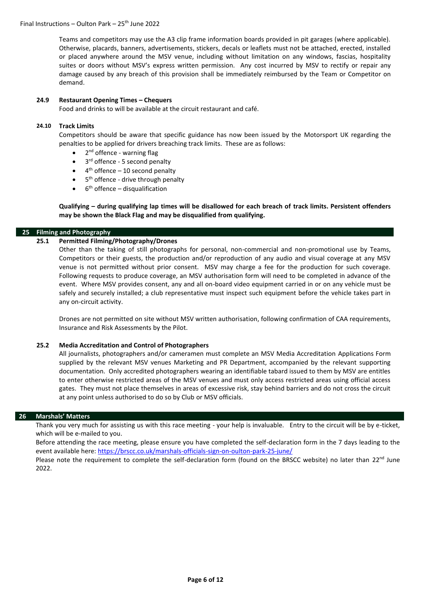Teams and competitors may use the A3 clip frame information boards provided in pit garages (where applicable). Otherwise, placards, banners, advertisements, stickers, decals or leaflets must not be attached, erected, installed or placed anywhere around the MSV venue, including without limitation on any windows, fascias, hospitality suites or doors without MSV's express written permission. Any cost incurred by MSV to rectify or repair any damage caused by any breach of this provision shall be immediately reimbursed by the Team or Competitor on demand.

### **24.9 Restaurant Opening Times – Chequers**

Food and drinks to will be available at the circuit restaurant and café.

### **24.10 Track Limits**

Competitors should be aware that specific guidance has now been issued by the Motorsport UK regarding the penalties to be applied for drivers breaching track limits. These are as follows:

- 2<sup>nd</sup> offence warning flag
- 3<sup>rd</sup> offence 5 second penalty
- $\bullet$  4<sup>th</sup> offence 10 second penalty
- 5<sup>th</sup> offence drive through penalty
- $\bullet$  6<sup>th</sup> offence disqualification

**Qualifying – during qualifying lap times will be disallowed for each breach of track limits. Persistent offenders may be shown the Black Flag and may be disqualified from qualifying.**

### **25 Filming and Photography**

### **25.1 Permitted Filming/Photography/Drones**

Other than the taking of still photographs for personal, non-commercial and non-promotional use by Teams, Competitors or their guests, the production and/or reproduction of any audio and visual coverage at any MSV venue is not permitted without prior consent. MSV may charge a fee for the production for such coverage. Following requests to produce coverage, an MSV authorisation form will need to be completed in advance of the event. Where MSV provides consent, any and all on-board video equipment carried in or on any vehicle must be safely and securely installed; a club representative must inspect such equipment before the vehicle takes part in any on-circuit activity.

Drones are not permitted on site without MSV written authorisation, following confirmation of CAA requirements, Insurance and Risk Assessments by the Pilot.

### **25.2 Media Accreditation and Control of Photographers**

All journalists, photographers and/or cameramen must complete an MSV Media Accreditation Applications Form supplied by the relevant MSV venues Marketing and PR Department, accompanied by the relevant supporting documentation. Only accredited photographers wearing an identifiable tabard issued to them by MSV are entitles to enter otherwise restricted areas of the MSV venues and must only access restricted areas using official access gates. They must not place themselves in areas of excessive risk, stay behind barriers and do not cross the circuit at any point unless authorised to do so by Club or MSV officials.

### **26 Marshals' Matters**

Thank you very much for assisting us with this race meeting - your help is invaluable. Entry to the circuit will be by e-ticket, which will be e-mailed to you.

Before attending the race meeting, please ensure you have completed the self-declaration form in the 7 days leading to the event available here: <https://brscc.co.uk/marshals-officials-sign-on-oulton-park-25-june/>

Please note the requirement to complete the self-declaration form (found on the BRSCC website) no later than 22<sup>nd</sup> June 2022.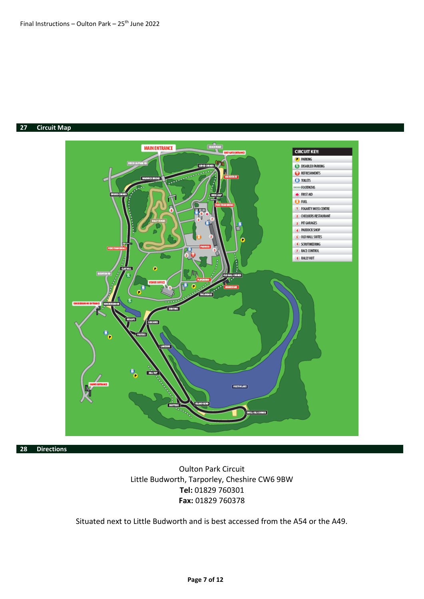### **27 Circuit Map**



**28 Directions**

# Oulton Park Circuit Little Budworth, Tarporley, Cheshire CW6 9BW **Tel:** 01829 760301 **Fax:** 01829 760378

Situated next to Little Budworth and is best accessed from the A54 or the A49.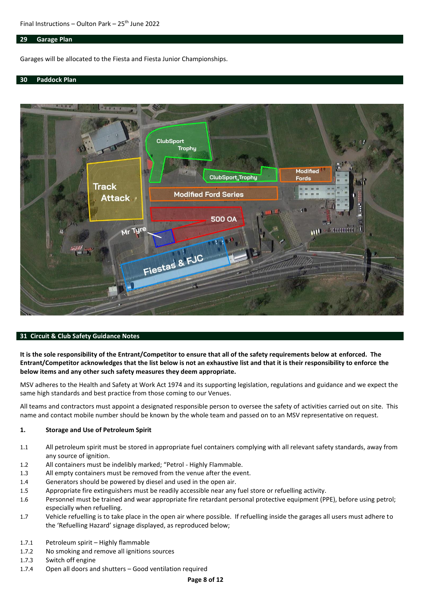### **29 Garage Plan**

Garages will be allocated to the Fiesta and Fiesta Junior Championships.

#### **30 Paddock Plan**



#### **31 Circuit & Club Safety Guidance Notes**

**It is the sole responsibility of the Entrant/Competitor to ensure that all of the safety requirements below at enforced. The Entrant/Competitor acknowledges that the list below is not an exhaustive list and that it is their responsibility to enforce the below items and any other such safety measures they deem appropriate.**

MSV adheres to the Health and Safety at Work Act 1974 and its supporting legislation, regulations and guidance and we expect the same high standards and best practice from those coming to our Venues.

All teams and contractors must appoint a designated responsible person to oversee the safety of activities carried out on site. This name and contact mobile number should be known by the whole team and passed on to an MSV representative on request.

#### **1. Storage and Use of Petroleum Spirit**

- 1.1 All petroleum spirit must be stored in appropriate fuel containers complying with all relevant safety standards, away from any source of ignition.
- 1.2 All containers must be indelibly marked; "Petrol Highly Flammable.
- 1.3 All empty containers must be removed from the venue after the event.
- 1.4 Generators should be powered by diesel and used in the open air.
- 1.5 Appropriate fire extinguishers must be readily accessible near any fuel store or refuelling activity.
- 1.6 Personnel must be trained and wear appropriate fire retardant personal protective equipment (PPE), before using petrol; especially when refuelling.
- 1.7 Vehicle refuelling is to take place in the open air where possible. If refuelling inside the garages all users must adhere to the 'Refuelling Hazard' signage displayed, as reproduced below;
- 1.7.1 Petroleum spirit Highly flammable
- 1.7.2 No smoking and remove all ignitions sources
- 1.7.3 Switch off engine
- 1.7.4 Open all doors and shutters Good ventilation required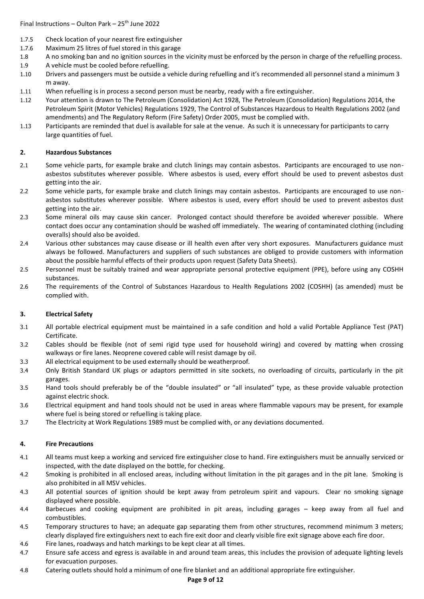- 1.7.5 Check location of your nearest fire extinguisher
- 1.7.6 Maximum 25 litres of fuel stored in this garage
- 1.8 A no smoking ban and no ignition sources in the vicinity must be enforced by the person in charge of the refuelling process.
- 1.9 A vehicle must be cooled before refuelling.
- 1.10 Drivers and passengers must be outside a vehicle during refuelling and it's recommended all personnel stand a minimum 3 m away.
- 1.11 When refuelling is in process a second person must be nearby, ready with a fire extinguisher.
- 1.12 Your attention is drawn to The Petroleum (Consolidation) Act 1928, The Petroleum (Consolidation) Regulations 2014, the Petroleum Spirit (Motor Vehicles) Regulations 1929, The Control of Substances Hazardous to Health Regulations 2002 (and amendments) and The Regulatory Reform (Fire Safety) Order 2005, must be complied with.
- 1.13 Participants are reminded that duel is available for sale at the venue. As such it is unnecessary for participants to carry large quantities of fuel.

### **2. Hazardous Substances**

- 2.1 Some vehicle parts, for example brake and clutch linings may contain asbestos. Participants are encouraged to use nonasbestos substitutes wherever possible. Where asbestos is used, every effort should be used to prevent asbestos dust getting into the air.
- 2.2 Some vehicle parts, for example brake and clutch linings may contain asbestos. Participants are encouraged to use nonasbestos substitutes wherever possible. Where asbestos is used, every effort should be used to prevent asbestos dust getting into the air.
- 2.3 Some mineral oils may cause skin cancer. Prolonged contact should therefore be avoided wherever possible. Where contact does occur any contamination should be washed off immediately. The wearing of contaminated clothing (including overalls) should also be avoided.
- 2.4 Various other substances may cause disease or ill health even after very short exposures. Manufacturers guidance must always be followed. Manufacturers and suppliers of such substances are obliged to provide customers with information about the possible harmful effects of their products upon request (Safety Data Sheets).
- 2.5 Personnel must be suitably trained and wear appropriate personal protective equipment (PPE), before using any COSHH substances.
- 2.6 The requirements of the Control of Substances Hazardous to Health Regulations 2002 (COSHH) (as amended) must be complied with.

## **3. Electrical Safety**

- 3.1 All portable electrical equipment must be maintained in a safe condition and hold a valid Portable Appliance Test (PAT) Certificate.
- 3.2 Cables should be flexible (not of semi rigid type used for household wiring) and covered by matting when crossing walkways or fire lanes. Neoprene covered cable will resist damage by oil.
- 3.3 All electrical equipment to be used externally should be weatherproof.
- 3.4 Only British Standard UK plugs or adaptors permitted in site sockets, no overloading of circuits, particularly in the pit garages.
- 3.5 Hand tools should preferably be of the "double insulated" or "all insulated" type, as these provide valuable protection against electric shock.
- 3.6 Electrical equipment and hand tools should not be used in areas where flammable vapours may be present, for example where fuel is being stored or refuelling is taking place.
- 3.7 The Electricity at Work Regulations 1989 must be complied with, or any deviations documented.

## **4. Fire Precautions**

- 4.1 All teams must keep a working and serviced fire extinguisher close to hand. Fire extinguishers must be annually serviced or inspected, with the date displayed on the bottle, for checking.
- 4.2 Smoking is prohibited in all enclosed areas, including without limitation in the pit garages and in the pit lane. Smoking is also prohibited in all MSV vehicles.
- 4.3 All potential sources of ignition should be kept away from petroleum spirit and vapours. Clear no smoking signage displayed where possible.
- 4.4 Barbecues and cooking equipment are prohibited in pit areas, including garages keep away from all fuel and combustibles.
- 4.5 Temporary structures to have; an adequate gap separating them from other structures, recommend minimum 3 meters; clearly displayed fire extinguishers next to each fire exit door and clearly visible fire exit signage above each fire door.
- 4.6 Fire lanes, roadways and hatch markings to be kept clear at all times.
- 4.7 Ensure safe access and egress is available in and around team areas, this includes the provision of adequate lighting levels for evacuation purposes.
- 4.8 Catering outlets should hold a minimum of one fire blanket and an additional appropriate fire extinguisher.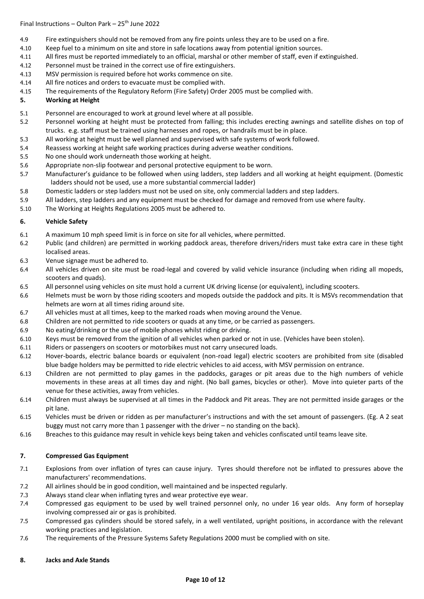- 4.9 Fire extinguishers should not be removed from any fire points unless they are to be used on a fire.
- 4.10 Keep fuel to a minimum on site and store in safe locations away from potential ignition sources.
- 4.11 All fires must be reported immediately to an official, marshal or other member of staff, even if extinguished.
- 4.12 Personnel must be trained in the correct use of fire extinguishers.
- 4.13 MSV permission is required before hot works commence on site.
- 4.14 All fire notices and orders to evacuate must be complied with.
- 4.15 The requirements of the Regulatory Reform (Fire Safety) Order 2005 must be complied with.

### **5. Working at Height**

- 5.1 Personnel are encouraged to work at ground level where at all possible.
- 5.2 Personnel working at height must be protected from falling; this includes erecting awnings and satellite dishes on top of trucks. e.g. staff must be trained using harnesses and ropes, or handrails must be in place.
- 5.3 All working at height must be well planned and supervised with safe systems of work followed.
- 5.4 Reassess working at height safe working practices during adverse weather conditions.
- 5.5 No one should work underneath those working at height.
- 5.6 Appropriate non-slip footwear and personal protective equipment to be worn.
- 5.7 Manufacturer's guidance to be followed when using ladders, step ladders and all working at height equipment. (Domestic ladders should not be used, use a more substantial commercial ladder)
- 5.8 Domestic ladders or step ladders must not be used on site, only commercial ladders and step ladders.
- 5.9 All ladders, step ladders and any equipment must be checked for damage and removed from use where faulty.
- 5.10 The Working at Heights Regulations 2005 must be adhered to.

### **6. Vehicle Safety**

- 6.1 A maximum 10 mph speed limit is in force on site for all vehicles, where permitted.
- 6.2 Public (and children) are permitted in working paddock areas, therefore drivers/riders must take extra care in these tight localised areas.
- 6.3 Venue signage must be adhered to.
- 6.4 All vehicles driven on site must be road-legal and covered by valid vehicle insurance (including when riding all mopeds, scooters and quads).
- 6.5 All personnel using vehicles on site must hold a current UK driving license (or equivalent), including scooters.
- 6.6 Helmets must be worn by those riding scooters and mopeds outside the paddock and pits. It is MSVs recommendation that helmets are worn at all times riding around site.
- 6.7 All vehicles must at all times, keep to the marked roads when moving around the Venue.
- 6.8 Children are not permitted to ride scooters or quads at any time, or be carried as passengers.
- 6.9 No eating/drinking or the use of mobile phones whilst riding or driving.
- 6.10 Keys must be removed from the ignition of all vehicles when parked or not in use. (Vehicles have been stolen).
- 6.11 Riders or passengers on scooters or motorbikes must not carry unsecured loads.
- 6.12 Hover-boards, electric balance boards or equivalent (non-road legal) electric scooters are prohibited from site (disabled blue badge holders may be permitted to ride electric vehicles to aid access, with MSV permission on entrance.
- 6.13 Children are not permitted to play games in the paddocks, garages or pit areas due to the high numbers of vehicle movements in these areas at all times day and night. (No ball games, bicycles or other). Move into quieter parts of the venue for these activities, away from vehicles.
- 6.14 Children must always be supervised at all times in the Paddock and Pit areas. They are not permitted inside garages or the pit lane.
- 6.15 Vehicles must be driven or ridden as per manufacturer's instructions and with the set amount of passengers. (Eg. A 2 seat buggy must not carry more than 1 passenger with the driver – no standing on the back).
- 6.16 Breaches to this guidance may result in vehicle keys being taken and vehicles confiscated until teams leave site.

### **7. Compressed Gas Equipment**

- 7.1 Explosions from over inflation of tyres can cause injury. Tyres should therefore not be inflated to pressures above the manufacturers' recommendations.
- 7.2 All airlines should be in good condition, well maintained and be inspected regularly.
- 7.3 Always stand clear when inflating tyres and wear protective eye wear.
- 7.4 Compressed gas equipment to be used by well trained personnel only, no under 16 year olds. Any form of horseplay involving compressed air or gas is prohibited.
- 7.5 Compressed gas cylinders should be stored safely, in a well ventilated, upright positions, in accordance with the relevant working practices and legislation.
- 7.6 The requirements of the Pressure Systems Safety Regulations 2000 must be complied with on site.

### **8. Jacks and Axle Stands**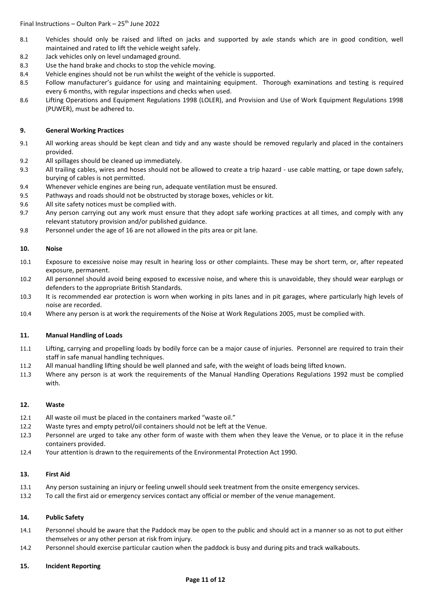- 8.1 Vehicles should only be raised and lifted on jacks and supported by axle stands which are in good condition, well maintained and rated to lift the vehicle weight safely.
- 8.2 Jack vehicles only on level undamaged ground.
- 8.3 Use the hand brake and chocks to stop the vehicle moving.
- 8.4 Vehicle engines should not be run whilst the weight of the vehicle is supported.
- 8.5 Follow manufacturer's guidance for using and maintaining equipment. Thorough examinations and testing is required every 6 months, with regular inspections and checks when used.
- 8.6 Lifting Operations and Equipment Regulations 1998 (LOLER), and Provision and Use of Work Equipment Regulations 1998 (PUWER), must be adhered to.

### **9. General Working Practices**

- 9.1 All working areas should be kept clean and tidy and any waste should be removed regularly and placed in the containers provided.
- 9.2 All spillages should be cleaned up immediately.
- 9.3 All trailing cables, wires and hoses should not be allowed to create a trip hazard use cable matting, or tape down safely, burying of cables is not permitted.
- 9.4 Whenever vehicle engines are being run, adequate ventilation must be ensured.
- 9.5 Pathways and roads should not be obstructed by storage boxes, vehicles or kit.
- 9.6 All site safety notices must be complied with.
- 9.7 Any person carrying out any work must ensure that they adopt safe working practices at all times, and comply with any relevant statutory provision and/or published guidance.
- 9.8 Personnel under the age of 16 are not allowed in the pits area or pit lane.

### **10. Noise**

- 10.1 Exposure to excessive noise may result in hearing loss or other complaints. These may be short term, or, after repeated exposure, permanent.
- 10.2 All personnel should avoid being exposed to excessive noise, and where this is unavoidable, they should wear earplugs or defenders to the appropriate British Standards.
- 10.3 It is recommended ear protection is worn when working in pits lanes and in pit garages, where particularly high levels of noise are recorded.
- 10.4 Where any person is at work the requirements of the Noise at Work Regulations 2005, must be complied with.

### **11. Manual Handling of Loads**

- 11.1 Lifting, carrying and propelling loads by bodily force can be a major cause of injuries. Personnel are required to train their staff in safe manual handling techniques.
- 11.2 All manual handling lifting should be well planned and safe, with the weight of loads being lifted known.
- 11.3 Where any person is at work the requirements of the Manual Handling Operations Regulations 1992 must be complied with.

### **12. Waste**

- 12.1 All waste oil must be placed in the containers marked "waste oil."
- 12.2 Waste tyres and empty petrol/oil containers should not be left at the Venue.
- 12.3 Personnel are urged to take any other form of waste with them when they leave the Venue, or to place it in the refuse containers provided.
- 12.4 Your attention is drawn to the requirements of the Environmental Protection Act 1990.

### **13. First Aid**

- 13.1 Any person sustaining an injury or feeling unwell should seek treatment from the onsite emergency services.
- 13.2 To call the first aid or emergency services contact any official or member of the venue management.

### **14. Public Safety**

- 14.1 Personnel should be aware that the Paddock may be open to the public and should act in a manner so as not to put either themselves or any other person at risk from injury.
- 14.2 Personnel should exercise particular caution when the paddock is busy and during pits and track walkabouts.

### **15. Incident Reporting**